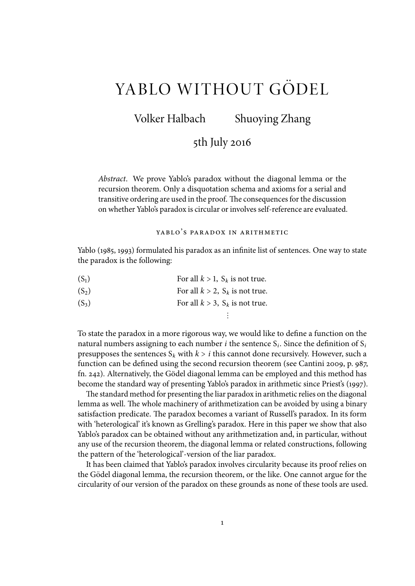# YABLO WITHOUT GÖDEL

Volker Halbach Shuoying Zhang

# 5th July 2016

Abstract. We prove Yablo's paradox without the diagonal lemma or the recursion theorem. Only a disquotation schema and axioms for a serial and transitive ordering are used in the proof. The consequences for the discussion on whether Yablo's paradox is circular or involves self-reference are evaluated.

YABLO'S PARADOX IN ARITHMETIC

Yablo (1985, 1993) formulated his paradox as an infinite list of sentences. One way to state the paradox is the following:

| $(S_1)$ | For all $k > 1$ , $S_k$ is not true. |
|---------|--------------------------------------|
|         |                                      |

- (S<sub>2</sub>) For all  $k > 2$ , S<sub>k</sub> is not true.
- (S<sub>3</sub>) For all  $k > 3$ , S<sub>k</sub> is not true.

To state the paradox in a more rigorous way, we would like to define a function on the natural numbers assigning to each number *i* the sentence  $S_i$ . Since the definition of  $S_i$ presupposes the sentences  $S_k$  with  $k > i$  this cannot done recursively. However, such a function can be defined using the second recursion theorem (see Cantini 2009, p. 987, fn. 242). Alternatively, the Gödel diagonal lemma can be employed and this method has become the standard way of presenting Yablo's paradox in arithmetic since Priest's (1997).

 $\vdots$ 

The standard method for presenting the liar paradox in arithmetic relies on the diagonal lemma as well. The whole machinery of arithmetization can be avoided by using a binary satisfaction predicate. The paradox becomes a variant of Russell's paradox. In its form with 'heterological' it's known as Grelling's paradox. Here in this paper we show that also Yablo's paradox can be obtained without any arithmetization and, in particular, without any use of the recursion theorem, the diagonal lemma or related constructions, following the pattern of the 'heterological'-version of the liar paradox.

It has been claimed that Yablo's paradox involves circularity because its proof relies on the Gödel diagonal lemma, the recursion theorem, or the like. One cannot argue for the circularity of our version of the paradox on these grounds as none of these tools are used.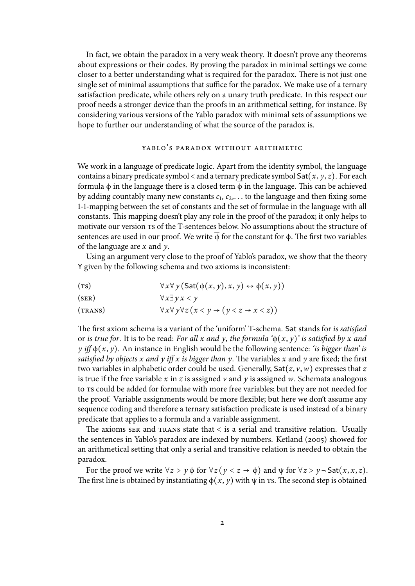In fact, we obtain the paradox in a very weak theory. It doesn't prove any theorems about expressions or their codes. By proving the paradox in minimal settings we come closer to a better understanding what is required for the paradox. There is not just one single set of minimal assumptions that suffice for the paradox. We make use of a ternary satisfaction predicate, while others rely on a unary truth predicate. In this respect our proof needs a stronger device than the proofs in an arithmetical setting, for instance. By considering various versions of the Yablo paradox with minimal sets of assumptions we hope to further our understanding of what the source of the paradox is.

## YABLO'S PARADOX WITHOUT ARITHMETIC

We work in a language of predicate logic. Apart from the identity symbol, the language contains a binary predicate symbol  $\lt$  and a ternary predicate symbol  $\textsf{Sat}(x, y, z)$ . For each formula  $\phi$  in the language there is a closed term  $\overline{\phi}$  in the language. This can be achieved by adding countably many new constants  $c_1, c_2,...$  to the language and then fixing some 1-1-mapping between the set of constants and the set of formulae in the language with all constants. This mapping doesn't play any role in the proof of the paradox; it only helps to motivate our version ts of the T-sentences below. No assumptions about the structure of sentences are used in our proof. We write  $\phi$  for the constant for  $\phi$ . The first two variables of the language are  $x$  and  $y$ .

Using an argument very close to the proof of Yablo's paradox, we show that the theory Y given by the following schema and two axioms is inconsistent:

- (TS)  $\forall x \forall y (\text{Sat}(\overline{\phi(x, y)}, x, y) \leftrightarrow \phi(x, y))$
- (SER)  $\forall x \exists y \, x < y$

(TRANS)  $\forall x \forall y \forall z (x < y \rightarrow (y < z \rightarrow x < z))$ 

The first axiom schema is a variant of the 'uniform' T-schema. Sat stands for is satisfied or is true for. It is to be read: For all x and y, the formula  $\phi(x, y)$  is satisfied by x and y iff  $\phi(x, y)$ . An instance in English would be the following sentence: 'is bigger than' is satisfied by objects x and y iff x is bigger than y. The variables x and y are fixed; the first two variables in alphabetic order could be used. Generally,  $\text{Sat}(z, v, w)$  expresses that z is true if the free variable  $x$  in  $z$  is assigned  $v$  and  $y$  is assigned  $w$ . Schemata analogous to ts could be added for formulae with more free variables; but they are not needed for the proof. Variable assignments would be more flexible; but here we don't assume any sequence coding and therefore a ternary satisfaction predicate is used instead of a binary predicate that applies to a formula and a variable assignment.

The axioms ser and  $\texttt{trans}$  state that  $\texttt{<}$  is a serial and transitive relation. Usually the sentences in Yablo's paradox are indexed by numbers. Ketland (2005) showed for an arithmetical setting that only a serial and transitive relation is needed to obtain the paradox.

For the proof we write  $\forall z > y \phi$  for  $\forall z (y < z \rightarrow \phi)$  and  $\overline{\psi}$  for  $\overline{\forall z > y \neg \text{Sat}(x, x, z)}$ . The first line is obtained by instantiating  $\phi(x, y)$  with  $\psi$  in ts. The second step is obtained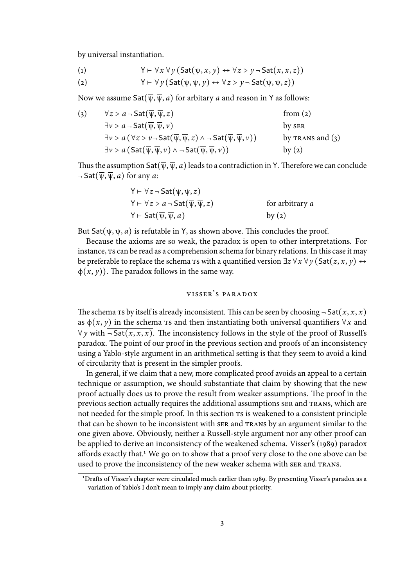by universal instantiation.

(1) 
$$
Y \vdash \forall x \forall y (Sat(\overline{\psi}, x, y) \leftrightarrow \forall z > y \neg Sat(x, x, z))
$$

(2) 
$$
Y \vdash \forall y (\text{Sat}(\overline{\psi}, \overline{\psi}, y) \leftrightarrow \forall z > y \neg \text{Sat}(\overline{\psi}, \overline{\psi}, z))
$$

Now we assume  $\textsf{Sat}(\overline{\psi}, \overline{\psi}, a)$  for arbitary a and reason in Y as follows:

(3)  $\forall z > a - \text{Sat}(\overline{\psi}, \overline{\psi}, z)$  from (2)  $\exists v > a - \text{Sat}(\overline{v}, \overline{w}, v)$  by ser  $\exists v > a \ (\forall z > v \neg \mathsf{Sat}(\overline{\psi}, \overline{\psi}, z) \land \neg \mathsf{Sat}(\overline{\psi}, \overline{\psi}, v))$  by TRANS and (3)  $\exists v > a \left( \mathsf{Sat}(\overline{\psi}, \overline{\psi}, v) \wedge \neg \mathsf{Sat}(\overline{\psi}, \overline{\psi}, v) \right)$  by (2)

Thus the assumption  $\text{Sat}(\overline{\psi}, \overline{\psi}, a)$  leads to a contradiction in Y. Therefore we can conclude  $\neg$  Sat $(\overline{\psi}, \overline{\psi}, a)$  for any a:

$$
Y \vdash \forall z \neg \mathsf{Sat}(\overline{\psi}, \overline{\psi}, z)
$$
  
 
$$
Y \vdash \forall z > a \neg \mathsf{Sat}(\overline{\psi}, \overline{\psi}, z)
$$
 for arbitrary  $a$   
 
$$
Y \vdash \mathsf{Sat}(\overline{\psi}, \overline{\psi}, a)
$$
 by (2)

But Sat $(\overline{\psi}, \overline{\psi}, a)$  is refutable in Y, as shown above. This concludes the proof.

Because the axioms are so weak, the paradox is open to other interpretations. For instance,  $\tau$ s can be read as a comprehension schema for binary relations. In this case it may be preferable to replace the schema  $\tau$ s with a quantified version  $\exists z \forall x \forall y$  (Sat $(z, x, y) \leftrightarrow$  $\phi(x, y)$ ). The paradox follows in the same way.

# v isser's paradox

The schema ts by itself is already inconsistent. This can be seen by choosing  $\neg$  Sat $(x, x, x)$ as  $\phi(x, y)$  in the schema rs and then instantiating both universal quantifiers  $\forall x$  and ∀y with  $\neg$  Sat(x, x, x). The inconsistency follows in the style of the proof of Russell's paradox. The point of our proof in the previous section and proofs of an inconsistency using a Yablo-style argument in an arithmetical setting is that they seem to avoid a kind of circularity that is present in the simpler proofs.

In general, if we claim that a new, more complicated proof avoids an appeal to a certain technique or assumption, we should substantiate that claim by showing that the new proof actually does us to prove the result from weaker assumptions. The proof in the previous section actually requires the additional assumptions ser and trans, which are not needed for the simple proof. In this section  $\tau s$  is weakened to a consistent principle that can be shown to be inconsistent with ser and trans by an argument similar to the one given above. Obviously, neither a Russell-style argument nor any other proof can be applied to derive an inconsistency of the weakened schema. Visser's (1989) paradox affords exactly that.<sup>1</sup> We go on to show that a proof very close to the one above can be used to prove the inconsistency of the new weaker schema with ser and trans.

<sup>&</sup>lt;sup>1</sup>Drafts of Visser's chapter were circulated much earlier than 1989. By presenting Visser's paradox as a variation of Yablo's I don't mean to imply any claim about priority.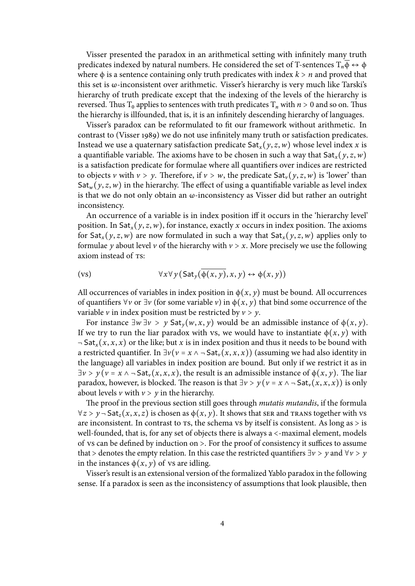Visser presented the paradox in an arithmetical setting with infinitely many truth predicates indexed by natural numbers. He considered the set of T-sentences  $T_n\overline{\phi} \leftrightarrow \phi$ where  $\phi$  is a sentence containing only truth predicates with index  $k > n$  and proved that this set is ω-inconsistent over arithmetic. Visser's hierarchy is very much like Tarski's hierarchy of truth predicate except that the indexing of the levels of the hierarchy is reversed. Thus T<sub>0</sub> applies to sentences with truth predicates T<sub>n</sub> with  $n > 0$  and so on. Thus the hierarchy is illfounded, that is, it is an infinitely descending hierarchy of languages.

Visser's paradox can be reformulated to fit our framework without arithmetic. In contrast to (Visser 1989) we do not use infinitely many truth or satisfaction predicates. Instead we use a quaternary satisfaction predicate  $\textsf{Sat}_x(y, z, w)$  whose level index x is a quantifiable variable. The axioms have to be chosen in such a way that  $\textsf{Sat}_x(y, z, w)$ is a satisfaction predicate for formulae where all quantifiers over indices are restricted to objects v with  $v > y$ . Therefore, if  $v > w$ , the predicate Sat<sub>v</sub>(y, z, w) is 'lower' than  $Sat_w(y, z, w)$  in the hierarchy. The effect of using a quantifiable variable as level index is that we do not only obtain an ω-inconsistency as Visser did but rather an outright inconsistency.

An occurrence of a variable is in index position iff it occurs in the 'hierarchy level' position. In  $\textsf{Sat}_x(y, z, w)$ , for instance, exactly x occurs in index position. The axioms for  $\textsf{Sat}_x(y, z, w)$  are now formulated in such a way that  $\textsf{Sat}_x(y, z, w)$  applies only to formulae y about level v of the hierarchy with  $v > x$ . More precisely we use the following axiom instead of Ts:

$$
(vs) \qquad \forall x \forall y (\text{Sat}_y(\overline{\phi(x,y)}, x, y) \leftrightarrow \phi(x, y))
$$

All occurrences of variables in index position in  $\phi(x, y)$  must be bound. All occurrences of quantifiers  $\forall v$  or  $\exists v$  (for some variable v) in  $\phi(x, y)$  that bind some occurrence of the variable  $\nu$  in index position must be restricted by  $\nu > \nu$ .

For instance  $∃w ⊇v$  > y Sat<sub>y</sub> $(w, x, y)$  would be an admissible instance of  $φ(x, y)$ . If we try to run the liar paradox with vs, we would have to instantiate  $\phi(x, y)$  with  $\neg$  Sat<sub>x</sub>(x, x, x) or the like; but x is in index position and thus it needs to be bound with a restricted quantifier. In  $\exists v (v = x \land \neg \exists \text{at}_v(x, x, x))$  (assuming we had also identity in the language) all variables in index position are bound. But only if we restrict it as in  $\exists v > y$  ( $v = x \land \neg \mathsf{Sat}_v(x, x, x)$ , the result is an admissible instance of  $\phi(x, y)$ . The liar paradox, however, is blocked. The reason is that  $\exists v > y$  ( $v = x \land \neg \mathsf{Sat}_v(x, x, x)$ ) is only about levels  $\nu$  with  $\nu > \nu$  in the hierarchy.

The proof in the previous section still goes through mutatis mutandis, if the formula  $\forall z > y \neg \mathsf{Sat}_z(x, x, z)$  is chosen as  $\phi(x, y)$ . It shows that ser and trans together with vs are inconsistent. In contrast to  $\text{ts}$ , the schema vs by itself is consistent. As long as  $>$  is well-founded, that is, for any set of objects there is always a <-maximal element, models of vs can be defined by induction on  $>$ . For the proof of consistency it suffices to assume that > denotes the empty relation. In this case the restricted quantifiers  $\exists v > y$  and  $\forall v > y$ in the instances  $\phi(x, y)$  of vs are idling.

Visser's result is an extensional version of the formalized Yablo paradox in the following sense. If a paradox is seen as the inconsistency of assumptions that look plausible, then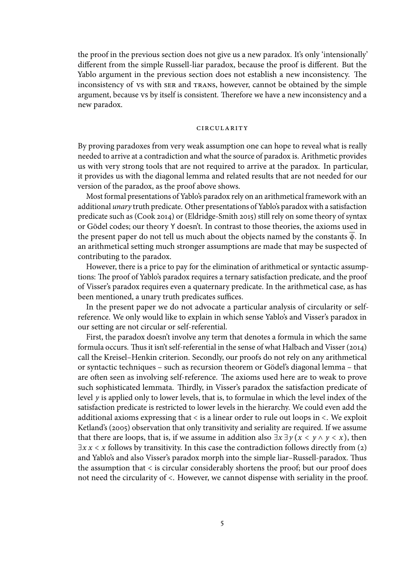the proof in the previous section does not give us a new paradox. It's only 'intensionally' different from the simple Russell-liar paradox, because the proof is different. But the Yablo argument in the previous section does not establish a new inconsistency. The inconsistency of vs with ser and trans, however, cannot be obtained by the simple argument, because vs by itself is consistent. Therefore we have a new inconsistency and a new paradox.

### **CIRCULARITY**

By proving paradoxes from very weak assumption one can hope to reveal what is really needed to arrive at a contradiction and what the source of paradox is. Arithmetic provides us with very strong tools that are not required to arrive at the paradox. In particular, it provides us with the diagonal lemma and related results that are not needed for our version of the paradox, as the proof above shows.

Most formal presentations of Yablo's paradox rely on an arithmetical framework with an additional unary truth predicate. Other presentations of Yablo's paradox with a satisfaction predicate such as (Cook 2014) or (Eldridge-Smith 2015) still rely on some theory of syntax or Gödel codes; our theory Y doesn't. In contrast to those theories, the axioms used in the present paper do not tell us much about the objects named by the constants  $\phi$ . In an arithmetical setting much stronger assumptions are made that may be suspected of contributing to the paradox.

However, there is a price to pay for the elimination of arithmetical or syntactic assumptions: The proof of Yablo's paradox requires a ternary satisfaction predicate, and the proof of Visser's paradox requires even a quaternary predicate. In the arithmetical case, as has been mentioned, a unary truth predicates suffices.

In the present paper we do not advocate a particular analysis of circularity or selfreference. We only would like to explain in which sense Yablo's and Visser's paradox in our setting are not circular or self-referential.

First, the paradox doesn't involve any term that denotes a formula in which the same formula occurs. Thus it isn't self-referential in the sense of what Halbach and Visser (2014) call the Kreisel–Henkin criterion. Secondly, our proofs do not rely on any arithmetical or syntactic techniques – such as recursion theorem or Gödel's diagonal lemma – that are often seen as involving self-reference. The axioms used here are to weak to prove such sophisticated lemmata. Thirdly, in Visser's paradox the satisfaction predicate of level y is applied only to lower levels, that is, to formulae in which the level index of the satisfaction predicate is restricted to lower levels in the hierarchy. We could even add the additional axioms expressing that < is a linear order to rule out loops in <. We exploit Ketland's (2005) observation that only transitivity and seriality are required. If we assume that there are loops, that is, if we assume in addition also  $\exists x \exists y (x \leq y \land y \leq x)$ , then  $\exists x \, x \leq x$  follows by transitivity. In this case the contradiction follows directly from (2) and Yablo's and also Visser's paradox morph into the simple liar-Russell-paradox. Thus the assumption that < is circular considerably shortens the proof; but our proof does not need the circularity of <. However, we cannot dispense with seriality in the proof.